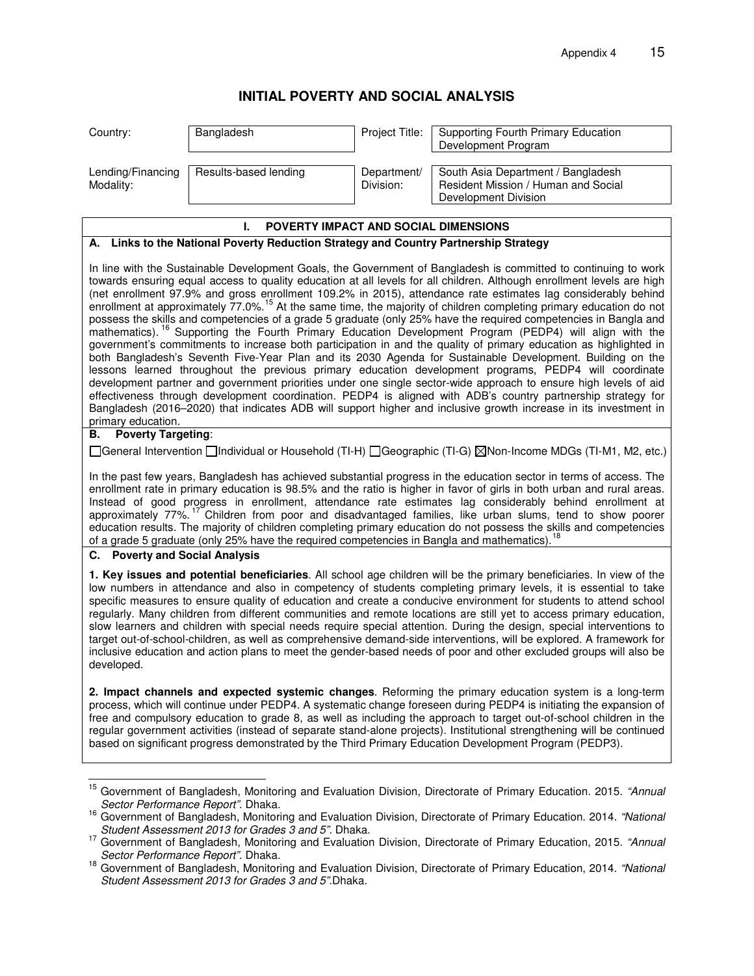# **INITIAL POVERTY AND SOCIAL ANALYSIS**

| Country:                       | Bangladesh            | Project Title:           | Supporting Fourth Primary Education<br>Development Program                                        |
|--------------------------------|-----------------------|--------------------------|---------------------------------------------------------------------------------------------------|
| Lending/Financing<br>Modality: | Results-based lending | Department/<br>Division: | South Asia Department / Bangladesh<br>Resident Mission / Human and Social<br>Development Division |

## **I. POVERTY IMPACT AND SOCIAL DIMENSIONS**

#### **A. Links to the National Poverty Reduction Strategy and Country Partnership Strategy**

In line with the Sustainable Development Goals, the Government of Bangladesh is committed to continuing to work towards ensuring equal access to quality education at all levels for all children. Although enrollment levels are high (net enrollment 97.9% and gross enrollment 109.2% in 2015), attendance rate estimates lag considerably behind enrollment at approximately 77.0%.<sup>[15](#page-0-0)</sup> At the same time, the majority of children completing primary education do not possess the skills and competencies of a grade 5 graduate (only 25% have the required competencies in Bangla and mathematics). <sup>[16](#page-0-1)</sup> Supporting the Fourth Primary Education Development Program (PEDP4) will align with the government's commitments to increase both participation in and the quality of primary education as highlighted in both Bangladesh's Seventh Five-Year Plan and its 2030 Agenda for Sustainable Development. Building on the lessons learned throughout the previous primary education development programs, PEDP4 will coordinate development partner and government priorities under one single sector-wide approach to ensure high levels of aid effectiveness through development coordination. PEDP4 is aligned with ADB's country partnership strategy for Bangladesh (2016–2020) that indicates ADB will support higher and inclusive growth increase in its investment in primary education.

## **B. Poverty Targeting**:

General Intervention Individual or Household (TI-H) Geographic (TI-G) Non-Income MDGs (TI-M1, M2, etc.)

In the past few years, Bangladesh has achieved substantial progress in the education sector in terms of access. The enrollment rate in primary education is 98.5% and the ratio is higher in favor of girls in both urban and rural areas. Instead of good progress in enrollment, attendance rate estimates lag considerably behind enrollment at approximately 77%. [17](#page-0-2) Children from poor and disadvantaged families, like urban slums, tend to show poorer education results. The majority of children completing primary education do not possess the skills and competencies of a grade 5 graduate (only 25% have the required competencies in Bangla and mathematics).<sup>[18](#page-0-3)</sup>

### **C. Poverty and Social Analysis**

**1. Key issues and potential beneficiaries**. All school age children will be the primary beneficiaries. In view of the low numbers in attendance and also in competency of students completing primary levels, it is essential to take specific measures to ensure quality of education and create a conducive environment for students to attend school regularly. Many children from different communities and remote locations are still yet to access primary education, slow learners and children with special needs require special attention. During the design, special interventions to target out-of-school-children, as well as comprehensive demand-side interventions, will be explored. A framework for inclusive education and action plans to meet the gender-based needs of poor and other excluded groups will also be developed.

**2. Impact channels and expected systemic changes**. Reforming the primary education system is a long-term process, which will continue under PEDP4. A systematic change foreseen during PEDP4 is initiating the expansion of free and compulsory education to grade 8, as well as including the approach to target out-of-school children in the regular government activities (instead of separate stand-alone projects). Institutional strengthening will be continued based on significant progress demonstrated by the Third Primary Education Development Program (PEDP3).

<span id="page-0-0"></span><sup>15&</sup>lt;br><sup>15</sup> Government of Bangladesh, Monitoring and Evaluation Division, Directorate of Primary Education. 2015. "Annual Sector Performance Report". Dhaka.

<span id="page-0-1"></span><sup>&</sup>lt;sup>16</sup> Government of Bangladesh, Monitoring and Evaluation Division, Directorate of Primary Education. 2014. "National Student Assessment 2013 for Grades 3 and 5". Dhaka.

<span id="page-0-2"></span><sup>&</sup>lt;sup>17</sup> Government of Bangladesh, Monitoring and Evaluation Division, Directorate of Primary Education, 2015. "Annual Sector Performance Report". Dhaka.

<span id="page-0-3"></span><sup>&</sup>lt;sup>18</sup> Government of Bangladesh, Monitoring and Evaluation Division, Directorate of Primary Education, 2014. "National Student Assessment 2013 for Grades 3 and 5".Dhaka.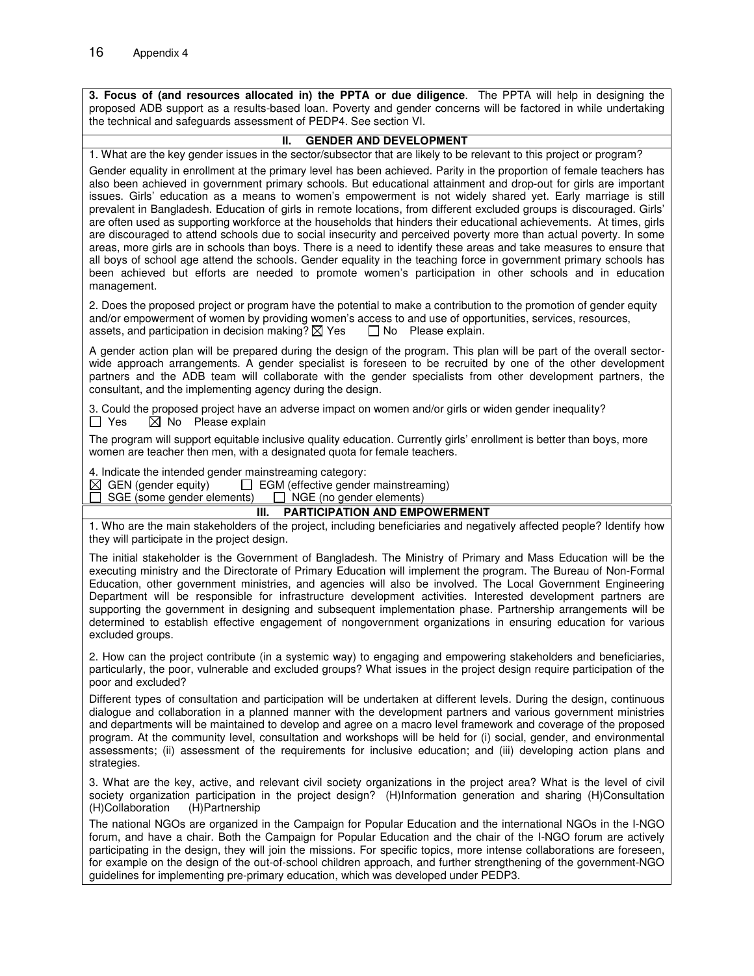**3. Focus of (and resources allocated in) the PPTA or due diligence**. The PPTA will help in designing the proposed ADB support as a results-based loan. Poverty and gender concerns will be factored in while undertaking the technical and safeguards assessment of PEDP4. See section VI.

#### **II. GENDER AND DEVELOPMENT**

1. What are the key gender issues in the sector/subsector that are likely to be relevant to this project or program?

Gender equality in enrollment at the primary level has been achieved. Parity in the proportion of female teachers has also been achieved in government primary schools. But educational attainment and drop-out for girls are important issues. Girls' education as a means to women's empowerment is not widely shared yet. Early marriage is still prevalent in Bangladesh. Education of girls in remote locations, from different excluded groups is discouraged. Girls' are often used as supporting workforce at the households that hinders their educational achievements. At times, girls are discouraged to attend schools due to social insecurity and perceived poverty more than actual poverty. In some areas, more girls are in schools than boys. There is a need to identify these areas and take measures to ensure that all boys of school age attend the schools. Gender equality in the teaching force in government primary schools has been achieved but efforts are needed to promote women's participation in other schools and in education management.

2. Does the proposed project or program have the potential to make a contribution to the promotion of gender equity and/or empowerment of women by providing women's access to and use of opportunities, services, resources, assets, and participation in decision making?  $\boxtimes$  Yes  $\Box$  No Please explain. assets, and participation in decision making?  $\boxtimes$  Yes

A gender action plan will be prepared during the design of the program. This plan will be part of the overall sectorwide approach arrangements. A gender specialist is foreseen to be recruited by one of the other development partners and the ADB team will collaborate with the gender specialists from other development partners, the consultant, and the implementing agency during the design.

3. Could the proposed project have an adverse impact on women and/or girls or widen gender inequality?  $\Box$  Yes  $\boxtimes$  No Please explain

The program will support equitable inclusive quality education. Currently girls' enrollment is better than boys, more women are teacher then men, with a designated quota for female teachers.

4. Indicate the intended gender mainstreaming category:

 $\boxtimes$  GEN (gender equity)  $\Box$  EGM (effective gender mainstreaming)

 $\Box$  SGE (some gender elements)  $\Box$  NGE (no gender elements)

#### **III. PARTICIPATION AND EMPOWERMENT**

1. Who are the main stakeholders of the project, including beneficiaries and negatively affected people? Identify how they will participate in the project design.

The initial stakeholder is the Government of Bangladesh. The Ministry of Primary and Mass Education will be the executing ministry and the Directorate of Primary Education will implement the program. The Bureau of Non-Formal Education, other government ministries, and agencies will also be involved. The Local Government Engineering Department will be responsible for infrastructure development activities. Interested development partners are supporting the government in designing and subsequent implementation phase. Partnership arrangements will be determined to establish effective engagement of nongovernment organizations in ensuring education for various excluded groups.

2. How can the project contribute (in a systemic way) to engaging and empowering stakeholders and beneficiaries, particularly, the poor, vulnerable and excluded groups? What issues in the project design require participation of the poor and excluded?

Different types of consultation and participation will be undertaken at different levels. During the design, continuous dialogue and collaboration in a planned manner with the development partners and various government ministries and departments will be maintained to develop and agree on a macro level framework and coverage of the proposed program. At the community level, consultation and workshops will be held for (i) social, gender, and environmental assessments; (ii) assessment of the requirements for inclusive education; and (iii) developing action plans and strategies.

3. What are the key, active, and relevant civil society organizations in the project area? What is the level of civil society organization participation in the project design? (H)Information generation and sharing (H)Consultation (H)Partnership (H)Collaboration

The national NGOs are organized in the Campaign for Popular Education and the international NGOs in the I-NGO forum, and have a chair. Both the Campaign for Popular Education and the chair of the I-NGO forum are actively participating in the design, they will join the missions. For specific topics, more intense collaborations are foreseen, for example on the design of the out-of-school children approach, and further strengthening of the government-NGO guidelines for implementing pre-primary education, which was developed under PEDP3.